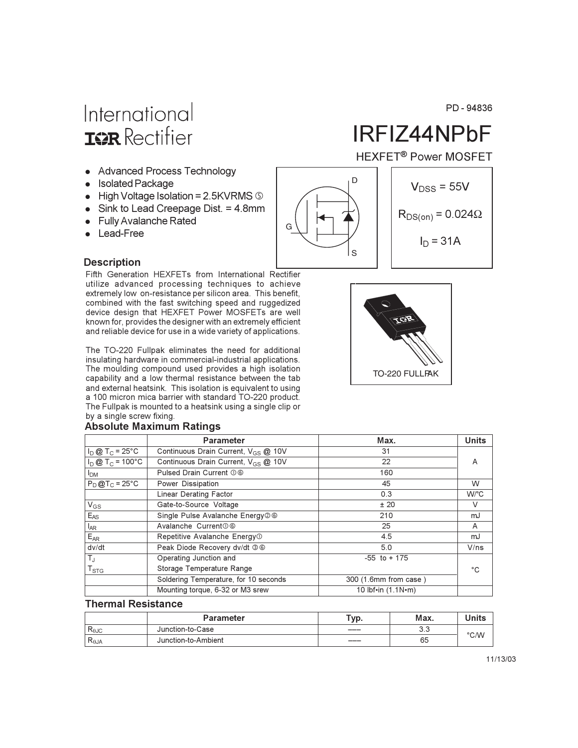## International **ISR** Rectifier

- Advanced Process Technology
- Isolated Package
- $\bullet$  High Voltage Isolation = 2.5KVRMS  $\circledcirc$
- Sink to Lead Creepage Dist.  $= 4.8$ mm
- Fully Avalanche Rated
- Lead-Free

# IRFIZ44NPbF

PD-94836

**HEXFET<sup>®</sup> Power MOSFET** 



#### **Description**

Fifth Generation HEXFETs from International Rectifier utilize advanced processing techniques to achieve extremely low on-resistance per silicon area. This benefit, combined with the fast switching speed and ruggedized device design that HEXFET Power MOSFETs are well known for, provides the designer with an extremely efficient and reliable device for use in a wide variety of applications.

The TO-220 Fullpak eliminates the need for additional insulating hardware in commercial-industrial applications. The moulding compound used provides a high isolation capability and a low thermal resistance between the tab and external heatsink. This isolation is equivalent to using a 100 micron mica barrier with standard TO-220 product. The Fullpak is mounted to a heatsink using a single clip or by a single screw fixing.

#### **Absolute Maximum Ratings**

|                               | <b>Parameter</b>                                | Max.                  | <b>Units</b> |
|-------------------------------|-------------------------------------------------|-----------------------|--------------|
| $I_D$ @ T <sub>C</sub> = 25°C | Continuous Drain Current, V <sub>GS</sub> @ 10V | 31                    |              |
| $I_D @ T_C = 100°C$           | Continuous Drain Current, V <sub>GS</sub> @ 10V | 22                    | A            |
| I <sub>DM</sub>               | Pulsed Drain Current 06                         | 160                   |              |
| $P_D@T_C = 25°C$              | Power Dissipation                               | 45                    | W            |
|                               | <b>Linear Derating Factor</b>                   | 0.3                   | W/°C         |
| $V_{GS}$                      | Gate-to-Source Voltage                          | ± 20                  | V            |
| $E_{AS}$                      | Single Pulse Avalanche Energy 26                | 210                   | mJ           |
| $I_{AR}$                      | Avalanche Current 0 6                           | 25                    | A            |
| $E_{AR}$                      | Repetitive Avalanche Energy <sup>1</sup>        | 4.5                   | mJ           |
| dv/dt                         | Peak Diode Recovery dv/dt 36                    | 5.0                   | V/ns         |
| $T_{\rm J}$                   | Operating Junction and                          | $-55$ to $+175$       |              |
| $\mathsf{T}_{\text{STG}}$     | Storage Temperature Range                       |                       | °C.          |
|                               | Soldering Temperature, for 10 seconds           | 300 (1.6mm from case) |              |
|                               | Mounting torque, 6-32 or M3 srew                | 10 lbf•in $(1.1N·m)$  |              |

#### **Thermal Resistance**

|                | Parameter           | тур. | Max.      | <b>Inits</b>  |
|----------------|---------------------|------|-----------|---------------|
| $R_{\theta$ JC | Junction-to-Case    | $--$ | ີ<br>ن. ب |               |
| $R_{\theta$ JA | Junction-to-Ambient | ---- | 65        | $\degree$ C/W |

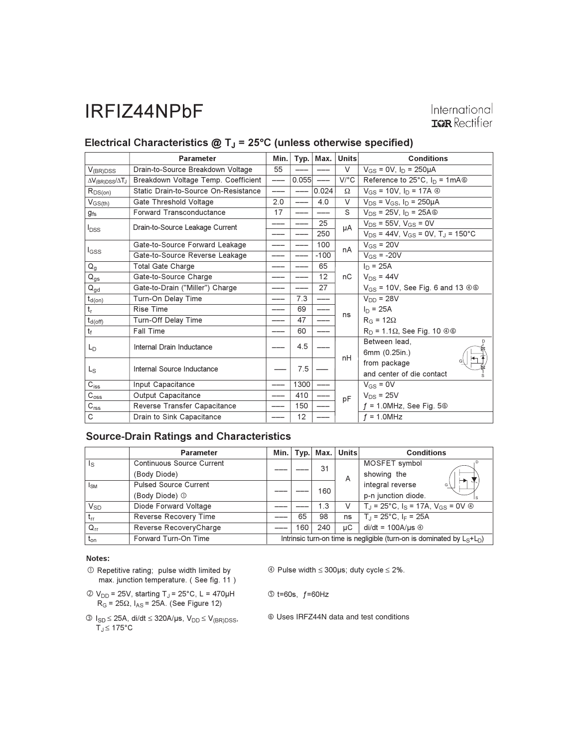### International **IGR** Rectifier

### Electrical Characteristics  $@T_J = 25°C$  (unless otherwise specified)

|                                    | <b>Parameter</b>                     | Min. | Typ.  | Max.              | <b>Units</b>                        | <b>Conditions</b>                                          |
|------------------------------------|--------------------------------------|------|-------|-------------------|-------------------------------------|------------------------------------------------------------|
| $V_{(BR)DSS}$                      | Drain-to-Source Breakdown Voltage    | 55   |       |                   | $\vee$                              | $V_{GS} = 0V$ , $I_D = 250 \mu A$                          |
| $\Delta V_{\rm(BR)DSS}/\Delta T_J$ | Breakdown Voltage Temp. Coefficient  | ---  | 0.055 | $\qquad \qquad -$ | $V$ <sup><math>\circ</math></sup> C | Reference to 25 $^{\circ}$ C, I <sub>D</sub> = 1mA $\circ$ |
| $R_{DS(on)}$                       | Static Drain-to-Source On-Resistance | ---  | $---$ | 0.024             | Ω                                   | $V_{GS} = 10V$ , $I_D = 17A$ $\circledcirc$                |
| $V_{GS(th)}$                       | Gate Threshold Voltage               | 2.0  | ---   | 4.0               | V                                   | $V_{DS} = V_{GS}$ , $I_D = 250 \mu A$                      |
| $g_{fs}$                           | Forward Transconductance             | 17   |       |                   | S                                   | $V_{DS}$ = 25V, $I_D$ = 25A $\circledcirc$                 |
| $I_{DSS}$                          | Drain-to-Source Leakage Current      | ---  | ---   | 25                | μA                                  | $V_{DS}$ = 55V, $V_{GS}$ = 0V                              |
|                                    |                                      | ---- |       | 250               |                                     | $V_{DS}$ = 44V, $V_{GS}$ = 0V, T <sub>J</sub> = 150°C      |
| l <sub>GSS</sub>                   | Gate-to-Source Forward Leakage       |      |       | 100               | nA                                  | $V_{GS}$ = 20V                                             |
|                                    | Gate-to-Source Reverse Leakage       |      |       | $-100$            |                                     | $V_{GS}$ = -20V                                            |
| $Q_{q}$                            | <b>Total Gate Charge</b>             |      |       | 65                |                                     | $In = 25A$                                                 |
| $Q_{gs}$                           | Gate-to-Source Charge                |      |       | 12                | nC                                  | $V_{DS}$ = 44V                                             |
| $\mathsf{Q}_{\mathsf{gd}}$         | Gate-to-Drain ("Miller") Charge      |      |       | 27                |                                     | $V_{GS}$ = 10V, See Fig. 6 and 13 $\circledcirc$           |
| $t_{d(\underline{on})}$            | Turn-On Delay Time                   | ---  | 7.3   | ---               |                                     | $V_{DD} = 28V$                                             |
| $t_{r}$                            | Rise Time                            |      | 69    |                   | ns                                  | $I_D = 25A$                                                |
| $t_{d(\text{off})}$                | Turn-Off Delay Time                  |      | 47    | ---               |                                     | $R_G = 12\Omega$                                           |
| $t_f$                              | <b>Fall Time</b>                     |      | 60    |                   |                                     | $R_D$ = 1.1 $\Omega$ , See Fig. 10 $\oplus$ $\otimes$      |
| $L_{\text{D}}$                     | Internal Drain Inductance            |      | 4.5   |                   | nH                                  | Between lead.                                              |
|                                    |                                      |      |       |                   |                                     | 6mm (0.25in.)                                              |
| Ls                                 | Internal Source Inductance           |      | 7.5   |                   |                                     | from package                                               |
|                                    |                                      |      |       |                   |                                     | and center of die contact                                  |
| $\mathrm{C_{iss}}$                 | Input Capacitance                    |      | 1300  |                   |                                     | $V_{GS} = 0V$                                              |
| $C_{\rm oss}$                      | Output Capacitance                   |      | 410   |                   | pF                                  | $V_{DS}$ = 25V                                             |
| $C_{\text{rss}}$                   | Reverse Transfer Capacitance         |      | 150   |                   |                                     | $f = 1.0$ MHz, See Fig. 5 $\circledcirc$                   |
| C                                  | Drain to Sink Capacitance            |      | 12    |                   |                                     | $f = 1.0$ MHz                                              |

#### **Source-Drain Ratings and Characteristics**

|                 | <b>Parameter</b>                 | Min.                                                                        | Typ. | Max. | <b>Units</b> | <b>Conditions</b>                                                    |
|-----------------|----------------------------------|-----------------------------------------------------------------------------|------|------|--------------|----------------------------------------------------------------------|
| ls              | <b>Continuous Source Current</b> |                                                                             |      | 31   |              | MOSFET symbol                                                        |
|                 | (Body Diode)                     |                                                                             |      |      | A            | showing the<br>⊢►                                                    |
| I <sub>SM</sub> | <b>Pulsed Source Current</b>     |                                                                             |      | 160  |              | integral reverse<br>G                                                |
|                 | (Body Diode) 1                   |                                                                             |      |      |              | p-n junction diode.                                                  |
| $V_{SD}$        | Diode Forward Voltage            |                                                                             |      | 1.3  | V            | $T_{\rm d}$ = 25°C, $I_{\rm S}$ = 17A, $V_{\rm GS}$ = 0V $\circledA$ |
| $t_{rr}$        | Reverse Recovery Time            |                                                                             | 65   | 98   | ns           | $T_{\rm J}$ = 25°C, I <sub>F</sub> = 25A                             |
| $Q_{rr}$        | Reverse RecoveryCharge           |                                                                             | 160  | 240  | иC           | $di/dt = 100A/\mu s$ $\circledcirc$                                  |
| $t_{\text{on}}$ | Forward Turn-On Time             | Intrinsic turn-on time is negligible (turn-on is dominated by $L_S + L_D$ ) |      |      |              |                                                                      |

#### Notes:

- 1 Repetitive rating; pulse width limited by max. junction temperature. (See fig. 11)
- $\textcircled{2}$  V<sub>DD</sub> = 25V, starting T<sub>J</sub> = 25°C, L = 470μH<br>R<sub>G</sub> = 25Ω, I<sub>AS</sub> = 25A. (See Figure 12)
- $\circledA$  Pulse width  $\leq$  300µs; duty cycle  $\leq$  2%.
- $\circledcirc$  t=60s, f=60Hz
- $\begin{aligned} \textcircled{\tiny{3}}\ \mathsf{l}_{\mathsf{SD}} &\leq 25\mathsf{A},\ \mathsf{di}/\mathsf{dt} \leq 320\mathsf{A}/\mathsf{\mu s},\ \mathsf{V}_{\mathsf{DD}} \leq \mathsf{V}_{(\mathsf{BR})\mathsf{DSS}},\\ \mathsf{T}_{\mathsf{J}} &\leq 175^\circ \mathsf{C} \end{aligned}$

© Uses IRFZ44N data and test conditions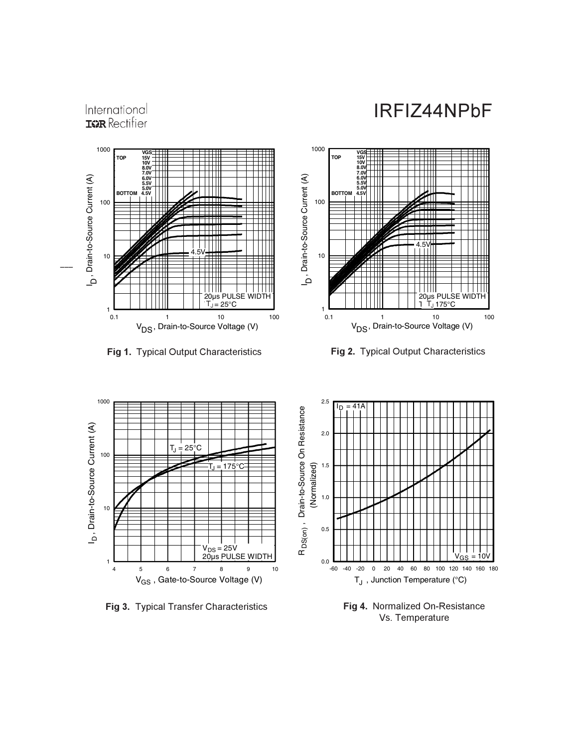#### **IGR** Rectifier 1000  **VGS TOP 15V 10V 8.0V 7.0V** I , Drain-to-Source Current (A)  **6.0V 5.5V** 5.0V<br>4.5V **BOTTOM** 100 4.5V 10 --o.  $\perp \perp \perp$  $\blacksquare$  20µs PULSE WIDTH  $1\frac{L}{0.1}$ 0.1 1 10 100 V<sub>DS</sub>, Drain-to-Source Voltage (V)

International

**Fig 1.** Typical Output Characteristics **Figure 1.** Fi



Fig 2. Typical Output Characteristics



Fig 3. Typical Transfer Characteristics



Fig 4. Normalized On-Resistance Vs. Temperature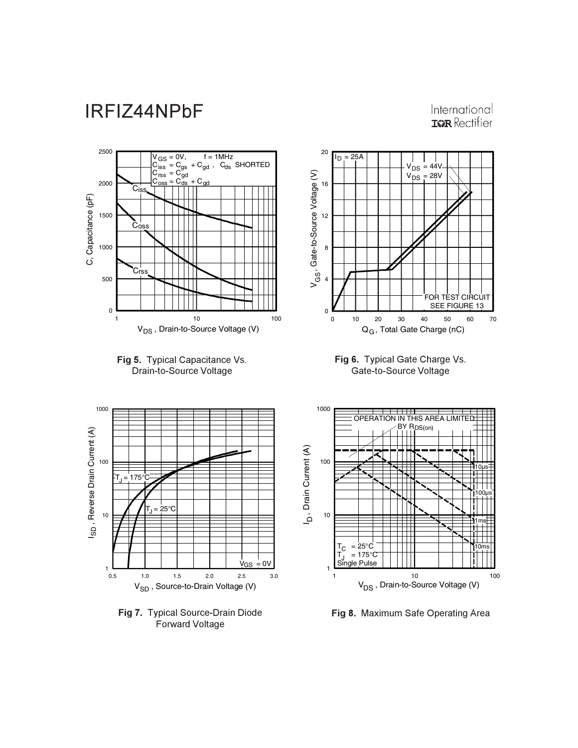### International **IGR** Rectifier







Fig 6. Typical Gate Charge Vs. Gate-to-Source Voltage







Fig 8. Maximum Safe Operating Area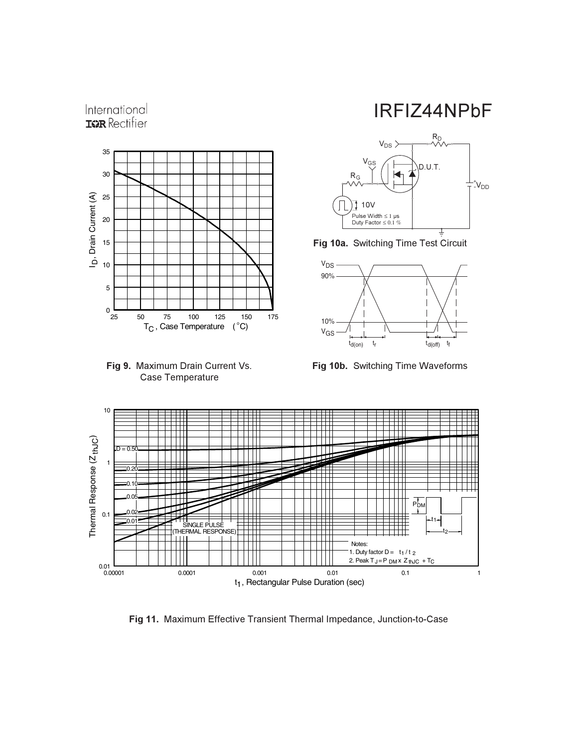

International



IRFIZ44NPbF







**Fig 10b.** Switching Time Waveforms



Fig 11. Maximum Effective Transient Thermal Impedance, Junction-to-Case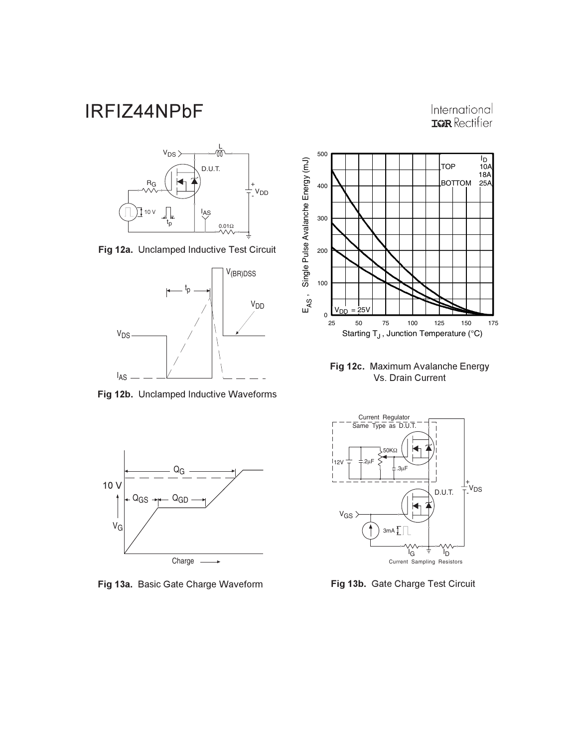International **IGR** Rectifier







Fig 12b. Unclamped Inductive Waveforms



Fig 13a. Basic Gate Charge Waveform



Fig 12c. Maximum Avalanche Energy Vs. Drain Current



Fig 13b. Gate Charge Test Circuit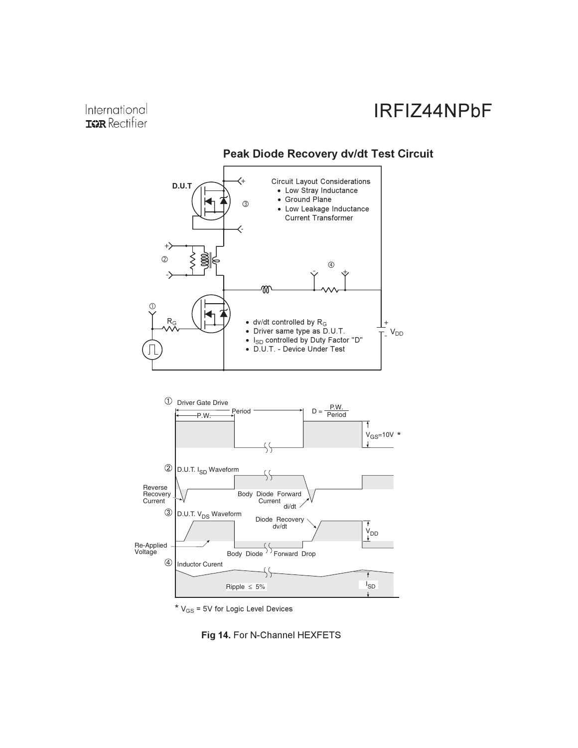#### Peak Diode Recovery dv/dt Test Circuit





\*  $V_{GS}$  = 5V for Logic Level Devices

Fig 14. For N-Channel HEXFETS